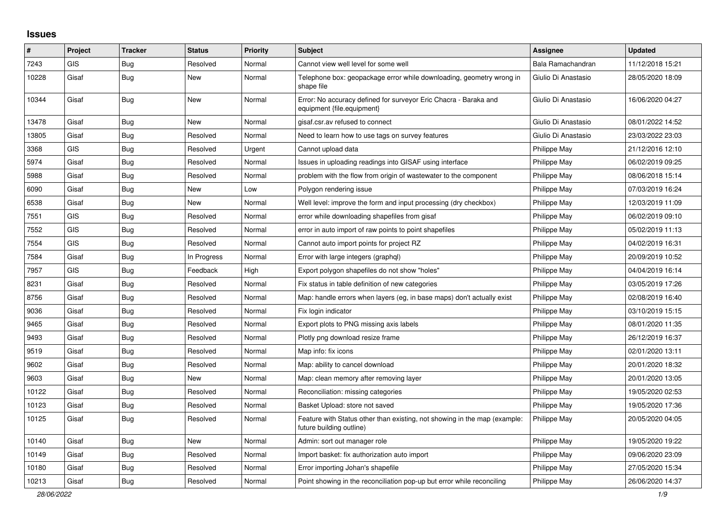## **Issues**

| #     | Project    | <b>Tracker</b> | <b>Status</b> | <b>Priority</b> | <b>Subject</b>                                                                                        | Assignee            | <b>Updated</b>   |
|-------|------------|----------------|---------------|-----------------|-------------------------------------------------------------------------------------------------------|---------------------|------------------|
| 7243  | <b>GIS</b> | Bug            | Resolved      | Normal          | Cannot view well level for some well                                                                  | Bala Ramachandran   | 11/12/2018 15:21 |
| 10228 | Gisaf      | Bug            | New           | Normal          | Telephone box: geopackage error while downloading, geometry wrong in<br>shape file                    | Giulio Di Anastasio | 28/05/2020 18:09 |
| 10344 | Gisaf      | Bug            | New           | Normal          | Error: No accuracy defined for surveyor Eric Chacra - Baraka and<br>equipment {file.equipment}        | Giulio Di Anastasio | 16/06/2020 04:27 |
| 13478 | Gisaf      | <b>Bug</b>     | <b>New</b>    | Normal          | gisaf.csr.av refused to connect                                                                       | Giulio Di Anastasio | 08/01/2022 14:52 |
| 13805 | Gisaf      | Bug            | Resolved      | Normal          | Need to learn how to use tags on survey features                                                      | Giulio Di Anastasio | 23/03/2022 23:03 |
| 3368  | <b>GIS</b> | <b>Bug</b>     | Resolved      | Urgent          | Cannot upload data                                                                                    | Philippe May        | 21/12/2016 12:10 |
| 5974  | Gisaf      | <b>Bug</b>     | Resolved      | Normal          | Issues in uploading readings into GISAF using interface                                               | Philippe May        | 06/02/2019 09:25 |
| 5988  | Gisaf      | Bug            | Resolved      | Normal          | problem with the flow from origin of wastewater to the component                                      | Philippe May        | 08/06/2018 15:14 |
| 6090  | Gisaf      | <b>Bug</b>     | <b>New</b>    | Low             | Polygon rendering issue                                                                               | Philippe May        | 07/03/2019 16:24 |
| 6538  | Gisaf      | Bug            | <b>New</b>    | Normal          | Well level: improve the form and input processing (dry checkbox)                                      | Philippe May        | 12/03/2019 11:09 |
| 7551  | <b>GIS</b> | Bug            | Resolved      | Normal          | error while downloading shapefiles from gisaf                                                         | Philippe May        | 06/02/2019 09:10 |
| 7552  | <b>GIS</b> | Bug            | Resolved      | Normal          | error in auto import of raw points to point shapefiles                                                | Philippe May        | 05/02/2019 11:13 |
| 7554  | <b>GIS</b> | Bug            | Resolved      | Normal          | Cannot auto import points for project RZ                                                              | Philippe May        | 04/02/2019 16:31 |
| 7584  | Gisaf      | <b>Bug</b>     | In Progress   | Normal          | Error with large integers (graphgl)                                                                   | Philippe May        | 20/09/2019 10:52 |
| 7957  | <b>GIS</b> | <b>Bug</b>     | Feedback      | High            | Export polygon shapefiles do not show "holes"                                                         | Philippe May        | 04/04/2019 16:14 |
| 8231  | Gisaf      | <b>Bug</b>     | Resolved      | Normal          | Fix status in table definition of new categories                                                      | Philippe May        | 03/05/2019 17:26 |
| 8756  | Gisaf      | <b>Bug</b>     | Resolved      | Normal          | Map: handle errors when layers (eg, in base maps) don't actually exist                                | Philippe May        | 02/08/2019 16:40 |
| 9036  | Gisaf      | Bug            | Resolved      | Normal          | Fix login indicator                                                                                   | Philippe May        | 03/10/2019 15:15 |
| 9465  | Gisaf      | Bug            | Resolved      | Normal          | Export plots to PNG missing axis labels                                                               | Philippe May        | 08/01/2020 11:35 |
| 9493  | Gisaf      | <b>Bug</b>     | Resolved      | Normal          | Plotly png download resize frame                                                                      | Philippe May        | 26/12/2019 16:37 |
| 9519  | Gisaf      | Bug            | Resolved      | Normal          | Map info: fix icons                                                                                   | Philippe May        | 02/01/2020 13:11 |
| 9602  | Gisaf      | Bug            | Resolved      | Normal          | Map: ability to cancel download                                                                       | Philippe May        | 20/01/2020 18:32 |
| 9603  | Gisaf      | <b>Bug</b>     | New           | Normal          | Map: clean memory after removing layer                                                                | Philippe May        | 20/01/2020 13:05 |
| 10122 | Gisaf      | <b>Bug</b>     | Resolved      | Normal          | Reconciliation: missing categories                                                                    | Philippe May        | 19/05/2020 02:53 |
| 10123 | Gisaf      | <b>Bug</b>     | Resolved      | Normal          | Basket Upload: store not saved                                                                        | Philippe May        | 19/05/2020 17:36 |
| 10125 | Gisaf      | <b>Bug</b>     | Resolved      | Normal          | Feature with Status other than existing, not showing in the map (example:<br>future building outline) | Philippe May        | 20/05/2020 04:05 |
| 10140 | Gisaf      | <b>Bug</b>     | <b>New</b>    | Normal          | Admin: sort out manager role                                                                          | Philippe May        | 19/05/2020 19:22 |
| 10149 | Gisaf      | <b>Bug</b>     | Resolved      | Normal          | Import basket: fix authorization auto import                                                          | Philippe May        | 09/06/2020 23:09 |
| 10180 | Gisaf      | <b>Bug</b>     | Resolved      | Normal          | Error importing Johan's shapefile                                                                     | Philippe May        | 27/05/2020 15:34 |
| 10213 | Gisaf      | Bug            | Resolved      | Normal          | Point showing in the reconciliation pop-up but error while reconciling                                | Philippe May        | 26/06/2020 14:37 |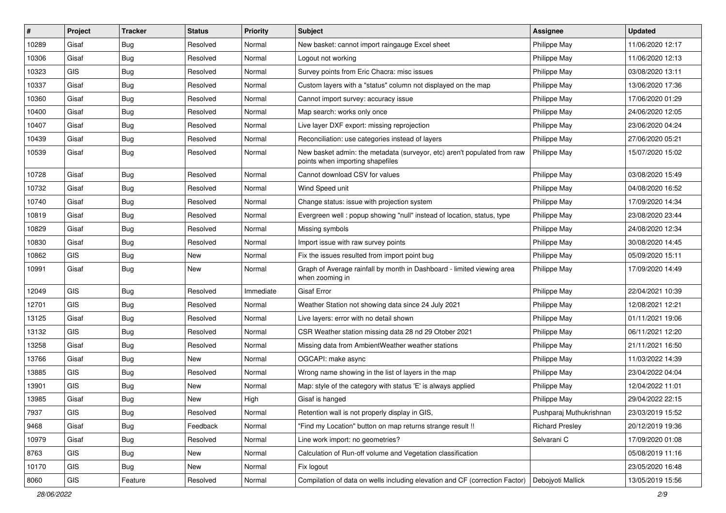| #     | Project    | <b>Tracker</b> | <b>Status</b> | Priority  | <b>Subject</b>                                                                                               | <b>Assignee</b>         | <b>Updated</b>   |
|-------|------------|----------------|---------------|-----------|--------------------------------------------------------------------------------------------------------------|-------------------------|------------------|
| 10289 | Gisaf      | <b>Bug</b>     | Resolved      | Normal    | New basket: cannot import raingauge Excel sheet                                                              | Philippe May            | 11/06/2020 12:17 |
| 10306 | Gisaf      | Bug            | Resolved      | Normal    | Logout not working                                                                                           | Philippe May            | 11/06/2020 12:13 |
| 10323 | <b>GIS</b> | Bug            | Resolved      | Normal    | Survey points from Eric Chacra: misc issues                                                                  | Philippe May            | 03/08/2020 13:11 |
| 10337 | Gisaf      | <b>Bug</b>     | Resolved      | Normal    | Custom layers with a "status" column not displayed on the map                                                | Philippe May            | 13/06/2020 17:36 |
| 10360 | Gisaf      | Bug            | Resolved      | Normal    | Cannot import survey: accuracy issue                                                                         | Philippe May            | 17/06/2020 01:29 |
| 10400 | Gisaf      | <b>Bug</b>     | Resolved      | Normal    | Map search: works only once                                                                                  | Philippe May            | 24/06/2020 12:05 |
| 10407 | Gisaf      | Bug            | Resolved      | Normal    | Live layer DXF export: missing reprojection                                                                  | Philippe May            | 23/06/2020 04:24 |
| 10439 | Gisaf      | Bug            | Resolved      | Normal    | Reconciliation: use categories instead of layers                                                             | Philippe May            | 27/06/2020 05:21 |
| 10539 | Gisaf      | Bug            | Resolved      | Normal    | New basket admin: the metadata (surveyor, etc) aren't populated from raw<br>points when importing shapefiles | Philippe May            | 15/07/2020 15:02 |
| 10728 | Gisaf      | Bug            | Resolved      | Normal    | Cannot download CSV for values                                                                               | Philippe May            | 03/08/2020 15:49 |
| 10732 | Gisaf      | <b>Bug</b>     | Resolved      | Normal    | Wind Speed unit                                                                                              | Philippe May            | 04/08/2020 16:52 |
| 10740 | Gisaf      | Bug            | Resolved      | Normal    | Change status: issue with projection system                                                                  | Philippe May            | 17/09/2020 14:34 |
| 10819 | Gisaf      | <b>Bug</b>     | Resolved      | Normal    | Evergreen well: popup showing "null" instead of location, status, type                                       | Philippe May            | 23/08/2020 23:44 |
| 10829 | Gisaf      | Bug            | Resolved      | Normal    | Missing symbols                                                                                              | Philippe May            | 24/08/2020 12:34 |
| 10830 | Gisaf      | Bug            | Resolved      | Normal    | Import issue with raw survey points                                                                          | Philippe May            | 30/08/2020 14:45 |
| 10862 | GIS        | Bug            | New           | Normal    | Fix the issues resulted from import point bug                                                                | Philippe May            | 05/09/2020 15:11 |
| 10991 | Gisaf      | Bug            | New           | Normal    | Graph of Average rainfall by month in Dashboard - limited viewing area<br>when zooming in                    | Philippe May            | 17/09/2020 14:49 |
| 12049 | GIS        | Bug            | Resolved      | Immediate | <b>Gisaf Error</b>                                                                                           | Philippe May            | 22/04/2021 10:39 |
| 12701 | <b>GIS</b> | Bug            | Resolved      | Normal    | Weather Station not showing data since 24 July 2021                                                          | Philippe May            | 12/08/2021 12:21 |
| 13125 | Gisaf      | Bug            | Resolved      | Normal    | Live layers: error with no detail shown                                                                      | Philippe May            | 01/11/2021 19:06 |
| 13132 | <b>GIS</b> | Bug            | Resolved      | Normal    | CSR Weather station missing data 28 nd 29 Otober 2021                                                        | Philippe May            | 06/11/2021 12:20 |
| 13258 | Gisaf      | Bug            | Resolved      | Normal    | Missing data from AmbientWeather weather stations                                                            | Philippe May            | 21/11/2021 16:50 |
| 13766 | Gisaf      | <b>Bug</b>     | <b>New</b>    | Normal    | OGCAPI: make async                                                                                           | Philippe May            | 11/03/2022 14:39 |
| 13885 | GIS        | Bug            | Resolved      | Normal    | Wrong name showing in the list of layers in the map                                                          | Philippe May            | 23/04/2022 04:04 |
| 13901 | <b>GIS</b> | <b>Bug</b>     | New           | Normal    | Map: style of the category with status 'E' is always applied                                                 | Philippe May            | 12/04/2022 11:01 |
| 13985 | Gisaf      | <b>Bug</b>     | New           | High      | Gisaf is hanged                                                                                              | Philippe May            | 29/04/2022 22:15 |
| 7937  | GIS        | Bug            | Resolved      | Normal    | Retention wall is not properly display in GIS,                                                               | Pushparaj Muthukrishnan | 23/03/2019 15:52 |
| 9468  | Gisaf      | Bug            | Feedback      | Normal    | "Find my Location" button on map returns strange result !!                                                   | <b>Richard Presley</b>  | 20/12/2019 19:36 |
| 10979 | Gisaf      | Bug            | Resolved      | Normal    | Line work import: no geometries?                                                                             | Selvarani C             | 17/09/2020 01:08 |
| 8763  | GIS        | <b>Bug</b>     | New           | Normal    | Calculation of Run-off volume and Vegetation classification                                                  |                         | 05/08/2019 11:16 |
| 10170 | GIS        | <b>Bug</b>     | New           | Normal    | Fix logout                                                                                                   |                         | 23/05/2020 16:48 |
| 8060  | GIS        | Feature        | Resolved      | Normal    | Compilation of data on wells including elevation and CF (correction Factor)                                  | Debojyoti Mallick       | 13/05/2019 15:56 |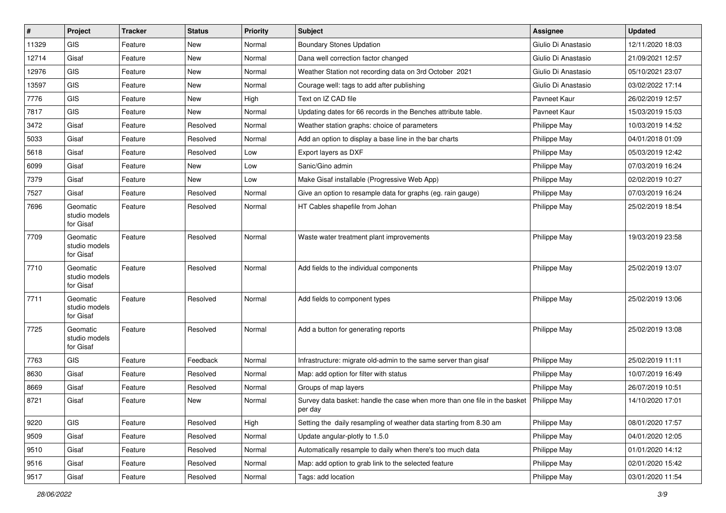| $\vert$ # | Project                                | <b>Tracker</b> | <b>Status</b> | <b>Priority</b> | Subject                                                                              | <b>Assignee</b>     | <b>Updated</b>   |
|-----------|----------------------------------------|----------------|---------------|-----------------|--------------------------------------------------------------------------------------|---------------------|------------------|
| 11329     | <b>GIS</b>                             | Feature        | New           | Normal          | <b>Boundary Stones Updation</b>                                                      | Giulio Di Anastasio | 12/11/2020 18:03 |
| 12714     | Gisaf                                  | Feature        | New           | Normal          | Dana well correction factor changed                                                  | Giulio Di Anastasio | 21/09/2021 12:57 |
| 12976     | <b>GIS</b>                             | Feature        | New           | Normal          | Weather Station not recording data on 3rd October 2021                               | Giulio Di Anastasio | 05/10/2021 23:07 |
| 13597     | <b>GIS</b>                             | Feature        | New           | Normal          | Courage well: tags to add after publishing                                           | Giulio Di Anastasio | 03/02/2022 17:14 |
| 7776      | GIS                                    | Feature        | New           | High            | Text on IZ CAD file                                                                  | Pavneet Kaur        | 26/02/2019 12:57 |
| 7817      | <b>GIS</b>                             | Feature        | New           | Normal          | Updating dates for 66 records in the Benches attribute table.                        | Pavneet Kaur        | 15/03/2019 15:03 |
| 3472      | Gisaf                                  | Feature        | Resolved      | Normal          | Weather station graphs: choice of parameters                                         | Philippe May        | 10/03/2019 14:52 |
| 5033      | Gisaf                                  | Feature        | Resolved      | Normal          | Add an option to display a base line in the bar charts                               | Philippe May        | 04/01/2018 01:09 |
| 5618      | Gisaf                                  | Feature        | Resolved      | Low             | Export layers as DXF                                                                 | Philippe May        | 05/03/2019 12:42 |
| 6099      | Gisaf                                  | Feature        | New           | Low             | Sanic/Gino admin                                                                     | Philippe May        | 07/03/2019 16:24 |
| 7379      | Gisaf                                  | Feature        | New           | Low             | Make Gisaf installable (Progressive Web App)                                         | Philippe May        | 02/02/2019 10:27 |
| 7527      | Gisaf                                  | Feature        | Resolved      | Normal          | Give an option to resample data for graphs (eg. rain gauge)                          | Philippe May        | 07/03/2019 16:24 |
| 7696      | Geomatic<br>studio models<br>for Gisaf | Feature        | Resolved      | Normal          | HT Cables shapefile from Johan                                                       | Philippe May        | 25/02/2019 18:54 |
| 7709      | Geomatic<br>studio models<br>for Gisaf | Feature        | Resolved      | Normal          | Waste water treatment plant improvements                                             | Philippe May        | 19/03/2019 23:58 |
| 7710      | Geomatic<br>studio models<br>for Gisaf | Feature        | Resolved      | Normal          | Add fields to the individual components                                              | Philippe May        | 25/02/2019 13:07 |
| 7711      | Geomatic<br>studio models<br>for Gisaf | Feature        | Resolved      | Normal          | Add fields to component types                                                        | Philippe May        | 25/02/2019 13:06 |
| 7725      | Geomatic<br>studio models<br>for Gisaf | Feature        | Resolved      | Normal          | Add a button for generating reports                                                  | Philippe May        | 25/02/2019 13:08 |
| 7763      | <b>GIS</b>                             | Feature        | Feedback      | Normal          | Infrastructure: migrate old-admin to the same server than gisaf                      | Philippe May        | 25/02/2019 11:11 |
| 8630      | Gisaf                                  | Feature        | Resolved      | Normal          | Map: add option for filter with status                                               | Philippe May        | 10/07/2019 16:49 |
| 8669      | Gisaf                                  | Feature        | Resolved      | Normal          | Groups of map layers                                                                 | Philippe May        | 26/07/2019 10:51 |
| 8721      | Gisaf                                  | Feature        | <b>New</b>    | Normal          | Survey data basket: handle the case when more than one file in the basket<br>per day | Philippe May        | 14/10/2020 17:01 |
| 9220      | GIS                                    | Feature        | Resolved      | High            | Setting the daily resampling of weather data starting from 8.30 am                   | Philippe May        | 08/01/2020 17:57 |
| 9509      | Gisaf                                  | Feature        | Resolved      | Normal          | Update angular-plotly to 1.5.0                                                       | Philippe May        | 04/01/2020 12:05 |
| 9510      | Gisaf                                  | Feature        | Resolved      | Normal          | Automatically resample to daily when there's too much data                           | Philippe May        | 01/01/2020 14:12 |
| 9516      | Gisaf                                  | Feature        | Resolved      | Normal          | Map: add option to grab link to the selected feature                                 | Philippe May        | 02/01/2020 15:42 |
| 9517      | Gisaf                                  | Feature        | Resolved      | Normal          | Tags: add location                                                                   | Philippe May        | 03/01/2020 11:54 |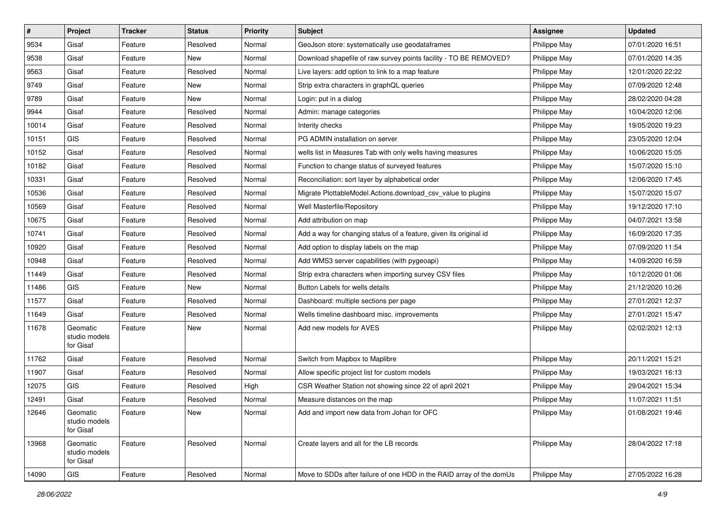| #     | Project                                | <b>Tracker</b> | <b>Status</b> | <b>Priority</b> | <b>Subject</b>                                                       | <b>Assignee</b> | <b>Updated</b>   |
|-------|----------------------------------------|----------------|---------------|-----------------|----------------------------------------------------------------------|-----------------|------------------|
| 9534  | Gisaf                                  | Feature        | Resolved      | Normal          | GeoJson store: systematically use geodataframes                      | Philippe May    | 07/01/2020 16:51 |
| 9538  | Gisaf                                  | Feature        | New           | Normal          | Download shapefile of raw survey points facility - TO BE REMOVED?    | Philippe May    | 07/01/2020 14:35 |
| 9563  | Gisaf                                  | Feature        | Resolved      | Normal          | Live layers: add option to link to a map feature                     | Philippe May    | 12/01/2020 22:22 |
| 9749  | Gisaf                                  | Feature        | New           | Normal          | Strip extra characters in graphQL queries                            | Philippe May    | 07/09/2020 12:48 |
| 9789  | Gisaf                                  | Feature        | New           | Normal          | Login: put in a dialog                                               | Philippe May    | 28/02/2020 04:28 |
| 9944  | Gisaf                                  | Feature        | Resolved      | Normal          | Admin: manage categories                                             | Philippe May    | 10/04/2020 12:06 |
| 10014 | Gisaf                                  | Feature        | Resolved      | Normal          | Interity checks                                                      | Philippe May    | 19/05/2020 19:23 |
| 10151 | GIS                                    | Feature        | Resolved      | Normal          | PG ADMIN installation on server                                      | Philippe May    | 23/05/2020 12:04 |
| 10152 | Gisaf                                  | Feature        | Resolved      | Normal          | wells list in Measures Tab with only wells having measures           | Philippe May    | 10/06/2020 15:05 |
| 10182 | Gisaf                                  | Feature        | Resolved      | Normal          | Function to change status of surveyed features                       | Philippe May    | 15/07/2020 15:10 |
| 10331 | Gisaf                                  | Feature        | Resolved      | Normal          | Reconciliation: sort layer by alphabetical order                     | Philippe May    | 12/06/2020 17:45 |
| 10536 | Gisaf                                  | Feature        | Resolved      | Normal          | Migrate PlottableModel.Actions.download_csv_value to plugins         | Philippe May    | 15/07/2020 15:07 |
| 10569 | Gisaf                                  | Feature        | Resolved      | Normal          | Well Masterfile/Repository                                           | Philippe May    | 19/12/2020 17:10 |
| 10675 | Gisaf                                  | Feature        | Resolved      | Normal          | Add attribution on map                                               | Philippe May    | 04/07/2021 13:58 |
| 10741 | Gisaf                                  | Feature        | Resolved      | Normal          | Add a way for changing status of a feature, given its original id    | Philippe May    | 16/09/2020 17:35 |
| 10920 | Gisaf                                  | Feature        | Resolved      | Normal          | Add option to display labels on the map                              | Philippe May    | 07/09/2020 11:54 |
| 10948 | Gisaf                                  | Feature        | Resolved      | Normal          | Add WMS3 server capabilities (with pygeoapi)                         | Philippe May    | 14/09/2020 16:59 |
| 11449 | Gisaf                                  | Feature        | Resolved      | Normal          | Strip extra characters when importing survey CSV files               | Philippe May    | 10/12/2020 01:06 |
| 11486 | <b>GIS</b>                             | Feature        | New           | Normal          | Button Labels for wells details                                      | Philippe May    | 21/12/2020 10:26 |
| 11577 | Gisaf                                  | Feature        | Resolved      | Normal          | Dashboard: multiple sections per page                                | Philippe May    | 27/01/2021 12:37 |
| 11649 | Gisaf                                  | Feature        | Resolved      | Normal          | Wells timeline dashboard misc. improvements                          | Philippe May    | 27/01/2021 15:47 |
| 11678 | Geomatic<br>studio models<br>for Gisaf | Feature        | New           | Normal          | Add new models for AVES                                              | Philippe May    | 02/02/2021 12:13 |
| 11762 | Gisaf                                  | Feature        | Resolved      | Normal          | Switch from Mapbox to Maplibre                                       | Philippe May    | 20/11/2021 15:21 |
| 11907 | Gisaf                                  | Feature        | Resolved      | Normal          | Allow specific project list for custom models                        | Philippe May    | 19/03/2021 16:13 |
| 12075 | <b>GIS</b>                             | Feature        | Resolved      | High            | CSR Weather Station not showing since 22 of april 2021               | Philippe May    | 29/04/2021 15:34 |
| 12491 | Gisaf                                  | Feature        | Resolved      | Normal          | Measure distances on the map                                         | Philippe May    | 11/07/2021 11:51 |
| 12646 | Geomatic<br>studio models<br>for Gisaf | Feature        | New           | Normal          | Add and import new data from Johan for OFC                           | Philippe May    | 01/08/2021 19:46 |
| 13968 | Geomatic<br>studio models<br>for Gisaf | Feature        | Resolved      | Normal          | Create layers and all for the LB records                             | Philippe May    | 28/04/2022 17:18 |
| 14090 | GIS                                    | Feature        | Resolved      | Normal          | Move to SDDs after failure of one HDD in the RAID array of the domUs | Philippe May    | 27/05/2022 16:28 |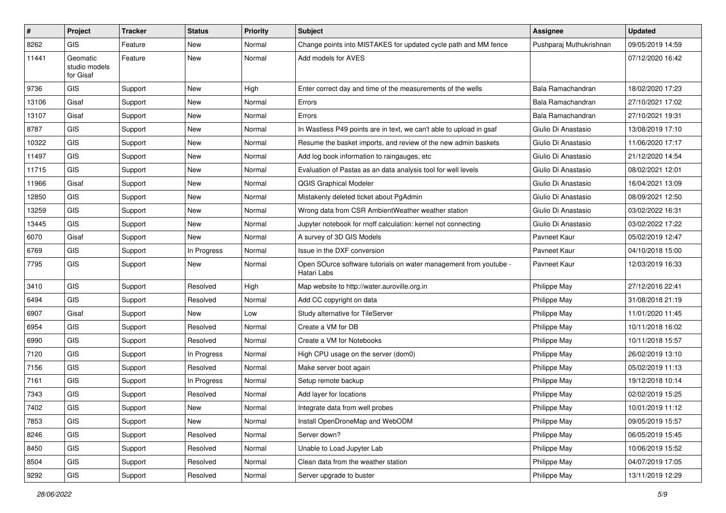| $\pmb{\#}$ | Project                                | <b>Tracker</b> | <b>Status</b> | <b>Priority</b> | Subject                                                                          | Assignee                | <b>Updated</b>   |
|------------|----------------------------------------|----------------|---------------|-----------------|----------------------------------------------------------------------------------|-------------------------|------------------|
| 8262       | <b>GIS</b>                             | Feature        | New           | Normal          | Change points into MISTAKES for updated cycle path and MM fence                  | Pushparaj Muthukrishnan | 09/05/2019 14:59 |
| 11441      | Geomatic<br>studio models<br>for Gisaf | Feature        | New           | Normal          | Add models for AVES                                                              |                         | 07/12/2020 16:42 |
| 9736       | <b>GIS</b>                             | Support        | New           | High            | Enter correct day and time of the measurements of the wells                      | Bala Ramachandran       | 18/02/2020 17:23 |
| 13106      | Gisaf                                  | Support        | New           | Normal          | Errors                                                                           | Bala Ramachandran       | 27/10/2021 17:02 |
| 13107      | Gisaf                                  | Support        | New           | Normal          | Errors                                                                           | Bala Ramachandran       | 27/10/2021 19:31 |
| 8787       | <b>GIS</b>                             | Support        | New           | Normal          | In Wastless P49 points are in text, we can't able to upload in gsaf              | Giulio Di Anastasio     | 13/08/2019 17:10 |
| 10322      | <b>GIS</b>                             | Support        | <b>New</b>    | Normal          | Resume the basket imports, and review of the new admin baskets                   | Giulio Di Anastasio     | 11/06/2020 17:17 |
| 11497      | <b>GIS</b>                             | Support        | New           | Normal          | Add log book information to raingauges, etc                                      | Giulio Di Anastasio     | 21/12/2020 14:54 |
| 11715      | <b>GIS</b>                             | Support        | New           | Normal          | Evaluation of Pastas as an data analysis tool for well levels                    | Giulio Di Anastasio     | 08/02/2021 12:01 |
| 11966      | Gisaf                                  | Support        | New           | Normal          | <b>QGIS Graphical Modeler</b>                                                    | Giulio Di Anastasio     | 16/04/2021 13:09 |
| 12850      | <b>GIS</b>                             | Support        | <b>New</b>    | Normal          | Mistakenly deleted ticket about PgAdmin                                          | Giulio Di Anastasio     | 08/09/2021 12:50 |
| 13259      | <b>GIS</b>                             | Support        | New           | Normal          | Wrong data from CSR AmbientWeather weather station                               | Giulio Di Anastasio     | 03/02/2022 16:31 |
| 13445      | <b>GIS</b>                             | Support        | New           | Normal          | Jupyter notebook for rnoff calculation: kernel not connecting                    | Giulio Di Anastasio     | 03/02/2022 17:22 |
| 6070       | Gisaf                                  | Support        | New           | Normal          | A survey of 3D GIS Models                                                        | Pavneet Kaur            | 05/02/2019 12:47 |
| 6769       | GIS                                    | Support        | In Progress   | Normal          | Issue in the DXF conversion                                                      | Pavneet Kaur            | 04/10/2018 15:00 |
| 7795       | <b>GIS</b>                             | Support        | <b>New</b>    | Normal          | Open SOurce software tutorials on water management from youtube -<br>Hatari Labs | Pavneet Kaur            | 12/03/2019 16:33 |
| 3410       | <b>GIS</b>                             | Support        | Resolved      | High            | Map website to http://water.auroville.org.in                                     | Philippe May            | 27/12/2016 22:41 |
| 6494       | <b>GIS</b>                             | Support        | Resolved      | Normal          | Add CC copyright on data                                                         | Philippe May            | 31/08/2018 21:19 |
| 6907       | Gisaf                                  | Support        | New           | Low             | Study alternative for TileServer                                                 | Philippe May            | 11/01/2020 11:45 |
| 6954       | <b>GIS</b>                             | Support        | Resolved      | Normal          | Create a VM for DB                                                               | Philippe May            | 10/11/2018 16:02 |
| 6990       | <b>GIS</b>                             | Support        | Resolved      | Normal          | Create a VM for Notebooks                                                        | Philippe May            | 10/11/2018 15:57 |
| 7120       | <b>GIS</b>                             | Support        | In Progress   | Normal          | High CPU usage on the server (dom0)                                              | Philippe May            | 26/02/2019 13:10 |
| 7156       | <b>GIS</b>                             | Support        | Resolved      | Normal          | Make server boot again                                                           | Philippe May            | 05/02/2019 11:13 |
| 7161       | <b>GIS</b>                             | Support        | In Progress   | Normal          | Setup remote backup                                                              | Philippe May            | 19/12/2018 10:14 |
| 7343       | <b>GIS</b>                             | Support        | Resolved      | Normal          | Add layer for locations                                                          | Philippe May            | 02/02/2019 15:25 |
| 7402       | <b>GIS</b>                             | Support        | New           | Normal          | Integrate data from well probes                                                  | Philippe May            | 10/01/2019 11:12 |
| 7853       | <b>GIS</b>                             | Support        | New           | Normal          | Install OpenDroneMap and WebODM                                                  | Philippe May            | 09/05/2019 15:57 |
| 8246       | GIS                                    | Support        | Resolved      | Normal          | Server down?                                                                     | Philippe May            | 06/05/2019 15:45 |
| 8450       | GIS                                    | Support        | Resolved      | Normal          | Unable to Load Jupyter Lab                                                       | Philippe May            | 10/06/2019 15:52 |
| 8504       | GIS                                    | Support        | Resolved      | Normal          | Clean data from the weather station                                              | Philippe May            | 04/07/2019 17:05 |
| 9292       | GIS                                    | Support        | Resolved      | Normal          | Server upgrade to buster                                                         | Philippe May            | 13/11/2019 12:29 |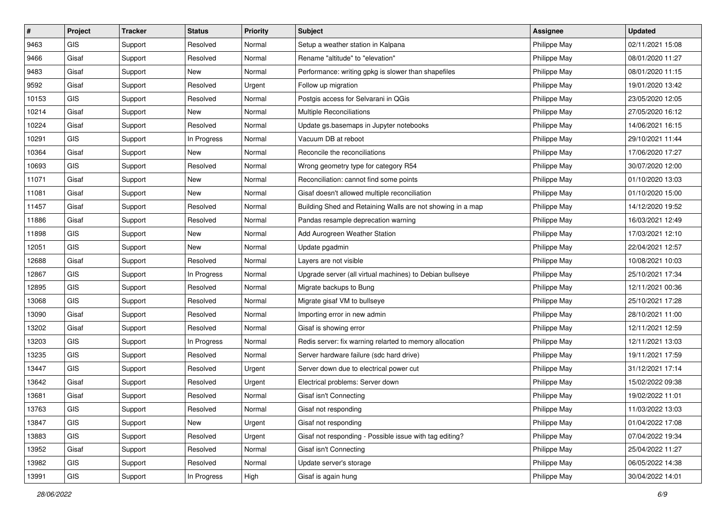| $\sharp$ | Project    | <b>Tracker</b> | <b>Status</b> | <b>Priority</b> | <b>Subject</b>                                             | Assignee     | <b>Updated</b>   |
|----------|------------|----------------|---------------|-----------------|------------------------------------------------------------|--------------|------------------|
| 9463     | GIS        | Support        | Resolved      | Normal          | Setup a weather station in Kalpana                         | Philippe May | 02/11/2021 15:08 |
| 9466     | Gisaf      | Support        | Resolved      | Normal          | Rename "altitude" to "elevation"                           | Philippe May | 08/01/2020 11:27 |
| 9483     | Gisaf      | Support        | New           | Normal          | Performance: writing gpkg is slower than shapefiles        | Philippe May | 08/01/2020 11:15 |
| 9592     | Gisaf      | Support        | Resolved      | Urgent          | Follow up migration                                        | Philippe May | 19/01/2020 13:42 |
| 10153    | <b>GIS</b> | Support        | Resolved      | Normal          | Postgis access for Selvarani in QGis                       | Philippe May | 23/05/2020 12:05 |
| 10214    | Gisaf      | Support        | New           | Normal          | <b>Multiple Reconciliations</b>                            | Philippe May | 27/05/2020 16:12 |
| 10224    | Gisaf      | Support        | Resolved      | Normal          | Update gs.basemaps in Jupyter notebooks                    | Philippe May | 14/06/2021 16:15 |
| 10291    | GIS        | Support        | In Progress   | Normal          | Vacuum DB at reboot                                        | Philippe May | 29/10/2021 11:44 |
| 10364    | Gisaf      | Support        | New           | Normal          | Reconcile the reconciliations                              | Philippe May | 17/06/2020 17:27 |
| 10693    | GIS        | Support        | Resolved      | Normal          | Wrong geometry type for category R54                       | Philippe May | 30/07/2020 12:00 |
| 11071    | Gisaf      | Support        | New           | Normal          | Reconciliation: cannot find some points                    | Philippe May | 01/10/2020 13:03 |
| 11081    | Gisaf      | Support        | <b>New</b>    | Normal          | Gisaf doesn't allowed multiple reconciliation              | Philippe May | 01/10/2020 15:00 |
| 11457    | Gisaf      | Support        | Resolved      | Normal          | Building Shed and Retaining Walls are not showing in a map | Philippe May | 14/12/2020 19:52 |
| 11886    | Gisaf      | Support        | Resolved      | Normal          | Pandas resample deprecation warning                        | Philippe May | 16/03/2021 12:49 |
| 11898    | GIS        | Support        | New           | Normal          | Add Aurogreen Weather Station                              | Philippe May | 17/03/2021 12:10 |
| 12051    | <b>GIS</b> | Support        | New           | Normal          | Update pgadmin                                             | Philippe May | 22/04/2021 12:57 |
| 12688    | Gisaf      | Support        | Resolved      | Normal          | Lavers are not visible                                     | Philippe May | 10/08/2021 10:03 |
| 12867    | <b>GIS</b> | Support        | In Progress   | Normal          | Upgrade server (all virtual machines) to Debian bullseye   | Philippe May | 25/10/2021 17:34 |
| 12895    | GIS        | Support        | Resolved      | Normal          | Migrate backups to Bung                                    | Philippe May | 12/11/2021 00:36 |
| 13068    | GIS        | Support        | Resolved      | Normal          | Migrate gisaf VM to bullseye                               | Philippe May | 25/10/2021 17:28 |
| 13090    | Gisaf      | Support        | Resolved      | Normal          | Importing error in new admin                               | Philippe May | 28/10/2021 11:00 |
| 13202    | Gisaf      | Support        | Resolved      | Normal          | Gisaf is showing error                                     | Philippe May | 12/11/2021 12:59 |
| 13203    | <b>GIS</b> | Support        | In Progress   | Normal          | Redis server: fix warning relarted to memory allocation    | Philippe May | 12/11/2021 13:03 |
| 13235    | <b>GIS</b> | Support        | Resolved      | Normal          | Server hardware failure (sdc hard drive)                   | Philippe May | 19/11/2021 17:59 |
| 13447    | <b>GIS</b> | Support        | Resolved      | Urgent          | Server down due to electrical power cut                    | Philippe May | 31/12/2021 17:14 |
| 13642    | Gisaf      | Support        | Resolved      | Urgent          | Electrical problems: Server down                           | Philippe May | 15/02/2022 09:38 |
| 13681    | Gisaf      | Support        | Resolved      | Normal          | Gisaf isn't Connecting                                     | Philippe May | 19/02/2022 11:01 |
| 13763    | GIS        | Support        | Resolved      | Normal          | Gisaf not responding                                       | Philippe May | 11/03/2022 13:03 |
| 13847    | <b>GIS</b> | Support        | New           | Urgent          | Gisaf not responding                                       | Philippe May | 01/04/2022 17:08 |
| 13883    | GIS        | Support        | Resolved      | Urgent          | Gisaf not responding - Possible issue with tag editing?    | Philippe May | 07/04/2022 19:34 |
| 13952    | Gisaf      | Support        | Resolved      | Normal          | Gisaf isn't Connecting                                     | Philippe May | 25/04/2022 11:27 |
| 13982    | GIS        | Support        | Resolved      | Normal          | Update server's storage                                    | Philippe May | 06/05/2022 14:38 |
| 13991    | GIS        | Support        | In Progress   | High            | Gisaf is again hung                                        | Philippe May | 30/04/2022 14:01 |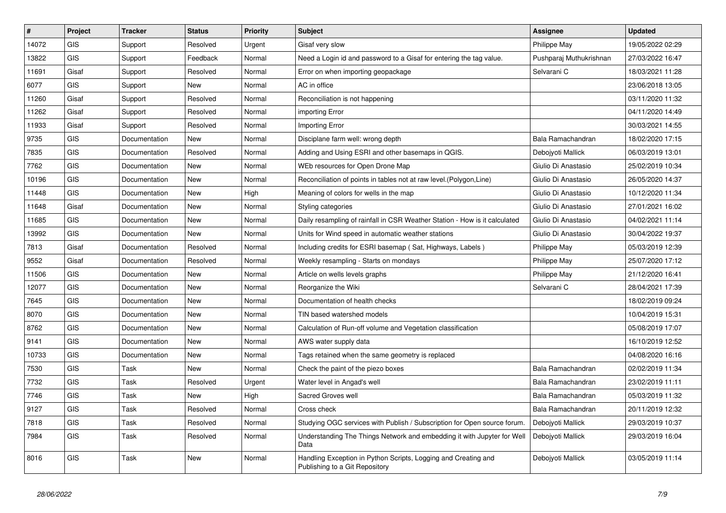| $\pmb{\#}$ | Project    | <b>Tracker</b> | <b>Status</b> | <b>Priority</b> | <b>Subject</b>                                                                                   | <b>Assignee</b>         | <b>Updated</b>   |
|------------|------------|----------------|---------------|-----------------|--------------------------------------------------------------------------------------------------|-------------------------|------------------|
| 14072      | GIS        | Support        | Resolved      | Urgent          | Gisaf very slow                                                                                  | Philippe May            | 19/05/2022 02:29 |
| 13822      | <b>GIS</b> | Support        | Feedback      | Normal          | Need a Login id and password to a Gisaf for entering the tag value.                              | Pushparaj Muthukrishnan | 27/03/2022 16:47 |
| 11691      | Gisaf      | Support        | Resolved      | Normal          | Error on when importing geopackage                                                               | Selvarani C             | 18/03/2021 11:28 |
| 6077       | GIS        | Support        | New           | Normal          | AC in office                                                                                     |                         | 23/06/2018 13:05 |
| 11260      | Gisaf      | Support        | Resolved      | Normal          | Reconciliation is not happening                                                                  |                         | 03/11/2020 11:32 |
| 11262      | Gisaf      | Support        | Resolved      | Normal          | importing Error                                                                                  |                         | 04/11/2020 14:49 |
| 11933      | Gisaf      | Support        | Resolved      | Normal          | Importing Error                                                                                  |                         | 30/03/2021 14:55 |
| 9735       | GIS        | Documentation  | New           | Normal          | Disciplane farm well: wrong depth                                                                | Bala Ramachandran       | 18/02/2020 17:15 |
| 7835       | <b>GIS</b> | Documentation  | Resolved      | Normal          | Adding and Using ESRI and other basemaps in QGIS.                                                | Debojyoti Mallick       | 06/03/2019 13:01 |
| 7762       | <b>GIS</b> | Documentation  | <b>New</b>    | Normal          | WEb resources for Open Drone Map                                                                 | Giulio Di Anastasio     | 25/02/2019 10:34 |
| 10196      | GIS        | Documentation  | New           | Normal          | Reconciliation of points in tables not at raw level. (Polygon, Line)                             | Giulio Di Anastasio     | 26/05/2020 14:37 |
| 11448      | GIS        | Documentation  | New           | High            | Meaning of colors for wells in the map                                                           | Giulio Di Anastasio     | 10/12/2020 11:34 |
| 11648      | Gisaf      | Documentation  | <b>New</b>    | Normal          | Styling categories                                                                               | Giulio Di Anastasio     | 27/01/2021 16:02 |
| 11685      | <b>GIS</b> | Documentation  | <b>New</b>    | Normal          | Daily resampling of rainfall in CSR Weather Station - How is it calculated                       | Giulio Di Anastasio     | 04/02/2021 11:14 |
| 13992      | GIS        | Documentation  | New           | Normal          | Units for Wind speed in automatic weather stations                                               | Giulio Di Anastasio     | 30/04/2022 19:37 |
| 7813       | Gisaf      | Documentation  | Resolved      | Normal          | Including credits for ESRI basemap (Sat, Highways, Labels)                                       | Philippe May            | 05/03/2019 12:39 |
| 9552       | Gisaf      | Documentation  | Resolved      | Normal          | Weekly resampling - Starts on mondays                                                            | Philippe May            | 25/07/2020 17:12 |
| 11506      | <b>GIS</b> | Documentation  | New           | Normal          | Article on wells levels graphs                                                                   | Philippe May            | 21/12/2020 16:41 |
| 12077      | GIS        | Documentation  | New           | Normal          | Reorganize the Wiki                                                                              | Selvarani C             | 28/04/2021 17:39 |
| 7645       | <b>GIS</b> | Documentation  | New           | Normal          | Documentation of health checks                                                                   |                         | 18/02/2019 09:24 |
| 8070       | GIS        | Documentation  | New           | Normal          | TIN based watershed models                                                                       |                         | 10/04/2019 15:31 |
| 8762       | <b>GIS</b> | Documentation  | New           | Normal          | Calculation of Run-off volume and Vegetation classification                                      |                         | 05/08/2019 17:07 |
| 9141       | GIS        | Documentation  | New           | Normal          | AWS water supply data                                                                            |                         | 16/10/2019 12:52 |
| 10733      | <b>GIS</b> | Documentation  | New           | Normal          | Tags retained when the same geometry is replaced                                                 |                         | 04/08/2020 16:16 |
| 7530       | <b>GIS</b> | Task           | New           | Normal          | Check the paint of the piezo boxes                                                               | Bala Ramachandran       | 02/02/2019 11:34 |
| 7732       | <b>GIS</b> | Task           | Resolved      | Urgent          | Water level in Angad's well                                                                      | Bala Ramachandran       | 23/02/2019 11:11 |
| 7746       | GIS        | Task           | New           | High            | Sacred Groves well                                                                               | Bala Ramachandran       | 05/03/2019 11:32 |
| 9127       | GIS        | Task           | Resolved      | Normal          | Cross check                                                                                      | Bala Ramachandran       | 20/11/2019 12:32 |
| 7818       | GIS        | Task           | Resolved      | Normal          | Studying OGC services with Publish / Subscription for Open source forum.                         | Debojyoti Mallick       | 29/03/2019 10:37 |
| 7984       | <b>GIS</b> | Task           | Resolved      | Normal          | Understanding The Things Network and embedding it with Jupyter for Well<br>Data                  | Debojyoti Mallick       | 29/03/2019 16:04 |
| 8016       | <b>GIS</b> | Task           | New           | Normal          | Handling Exception in Python Scripts, Logging and Creating and<br>Publishing to a Git Repository | Debojyoti Mallick       | 03/05/2019 11:14 |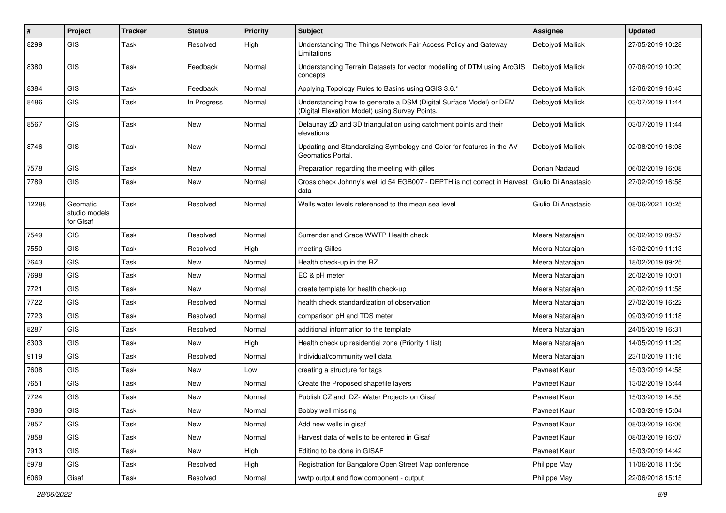| #     | Project                                | <b>Tracker</b> | <b>Status</b> | <b>Priority</b> | <b>Subject</b>                                                                                                       | <b>Assignee</b>     | <b>Updated</b>   |
|-------|----------------------------------------|----------------|---------------|-----------------|----------------------------------------------------------------------------------------------------------------------|---------------------|------------------|
| 8299  | <b>GIS</b>                             | Task           | Resolved      | High            | Understanding The Things Network Fair Access Policy and Gateway<br>Limitations                                       | Debojyoti Mallick   | 27/05/2019 10:28 |
| 8380  | <b>GIS</b>                             | Task           | Feedback      | Normal          | Understanding Terrain Datasets for vector modelling of DTM using ArcGIS<br>concepts                                  | Debojyoti Mallick   | 07/06/2019 10:20 |
| 8384  | <b>GIS</b>                             | Task           | Feedback      | Normal          | Applying Topology Rules to Basins using QGIS 3.6.*                                                                   | Debojyoti Mallick   | 12/06/2019 16:43 |
| 8486  | GIS                                    | Task           | In Progress   | Normal          | Understanding how to generate a DSM (Digital Surface Model) or DEM<br>(Digital Elevation Model) using Survey Points. | Debojyoti Mallick   | 03/07/2019 11:44 |
| 8567  | GIS                                    | <b>Task</b>    | New           | Normal          | Delaunay 2D and 3D triangulation using catchment points and their<br>elevations                                      | Debojyoti Mallick   | 03/07/2019 11:44 |
| 8746  | <b>GIS</b>                             | <b>Task</b>    | New           | Normal          | Updating and Standardizing Symbology and Color for features in the AV<br>Geomatics Portal.                           | Debojyoti Mallick   | 02/08/2019 16:08 |
| 7578  | GIS                                    | Task           | <b>New</b>    | Normal          | Preparation regarding the meeting with gilles                                                                        | Dorian Nadaud       | 06/02/2019 16:08 |
| 7789  | <b>GIS</b>                             | Task           | New           | Normal          | Cross check Johnny's well id 54 EGB007 - DEPTH is not correct in Harvest<br>data                                     | Giulio Di Anastasio | 27/02/2019 16:58 |
| 12288 | Geomatic<br>studio models<br>for Gisaf | <b>Task</b>    | Resolved      | Normal          | Wells water levels referenced to the mean sea level                                                                  | Giulio Di Anastasio | 08/06/2021 10:25 |
| 7549  | GIS                                    | Task           | Resolved      | Normal          | Surrender and Grace WWTP Health check                                                                                | Meera Natarajan     | 06/02/2019 09:57 |
| 7550  | <b>GIS</b>                             | Task           | Resolved      | High            | meeting Gilles                                                                                                       | Meera Natarajan     | 13/02/2019 11:13 |
| 7643  | GIS                                    | <b>Task</b>    | New           | Normal          | Health check-up in the RZ                                                                                            | Meera Natarajan     | 18/02/2019 09:25 |
| 7698  | GIS                                    | Task           | New           | Normal          | EC & pH meter                                                                                                        | Meera Natarajan     | 20/02/2019 10:01 |
| 7721  | <b>GIS</b>                             | Task           | New           | Normal          | create template for health check-up                                                                                  | Meera Natarajan     | 20/02/2019 11:58 |
| 7722  | GIS                                    | Task           | Resolved      | Normal          | health check standardization of observation                                                                          | Meera Natarajan     | 27/02/2019 16:22 |
| 7723  | GIS                                    | <b>Task</b>    | Resolved      | Normal          | comparison pH and TDS meter                                                                                          | Meera Natarajan     | 09/03/2019 11:18 |
| 8287  | <b>GIS</b>                             | Task           | Resolved      | Normal          | additional information to the template                                                                               | Meera Natarajan     | 24/05/2019 16:31 |
| 8303  | <b>GIS</b>                             | Task           | New           | High            | Health check up residential zone (Priority 1 list)                                                                   | Meera Natarajan     | 14/05/2019 11:29 |
| 9119  | <b>GIS</b>                             | Task           | Resolved      | Normal          | Individual/community well data                                                                                       | Meera Natarajan     | 23/10/2019 11:16 |
| 7608  | GIS                                    | Task           | New           | Low             | creating a structure for tags                                                                                        | Pavneet Kaur        | 15/03/2019 14:58 |
| 7651  | GIS                                    | Task           | New           | Normal          | Create the Proposed shapefile layers                                                                                 | Pavneet Kaur        | 13/02/2019 15:44 |
| 7724  | <b>GIS</b>                             | Task           | New           | Normal          | Publish CZ and IDZ- Water Project> on Gisaf                                                                          | Pavneet Kaur        | 15/03/2019 14:55 |
| 7836  | GIS                                    | Task           | New           | Normal          | Bobby well missing                                                                                                   | Pavneet Kaur        | 15/03/2019 15:04 |
| 7857  | <b>GIS</b>                             | Task           | New           | Normal          | Add new wells in gisaf                                                                                               | Payneet Kaur        | 08/03/2019 16:06 |
| 7858  | GIS                                    | Task           | New           | Normal          | Harvest data of wells to be entered in Gisaf                                                                         | Pavneet Kaur        | 08/03/2019 16:07 |
| 7913  | GIS                                    | Task           | New           | High            | Editing to be done in GISAF                                                                                          | Pavneet Kaur        | 15/03/2019 14:42 |
| 5978  | GIS                                    | Task           | Resolved      | High            | Registration for Bangalore Open Street Map conference                                                                | Philippe May        | 11/06/2018 11:56 |
| 6069  | Gisaf                                  | Task           | Resolved      | Normal          | wwtp output and flow component - output                                                                              | Philippe May        | 22/06/2018 15:15 |